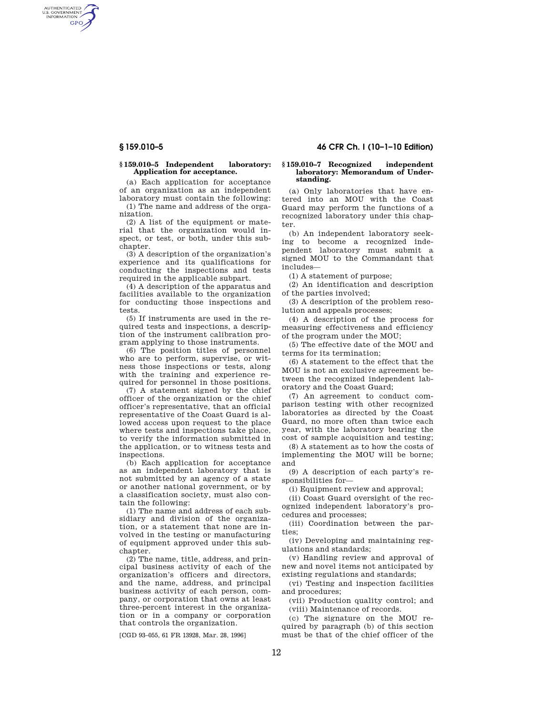AUTHENTICATED<br>U.S. GOVERNMENT<br>INFORMATION **GPO** 

## **§ 159.010–5 Independent laboratory: Application for acceptance.**

(a) Each application for acceptance of an organization as an independent laboratory must contain the following:

(1) The name and address of the organization.

(2) A list of the equipment or material that the organization would inspect, or test, or both, under this subchapter.

(3) A description of the organization's experience and its qualifications for conducting the inspections and tests required in the applicable subpart.

(4) A description of the apparatus and facilities available to the organization for conducting those inspections and tests.

(5) If instruments are used in the required tests and inspections, a description of the instrument calibration program applying to those instruments.

(6) The position titles of personnel who are to perform, supervise, or witness those inspections or tests, along with the training and experience required for personnel in those positions.

(7) A statement signed by the chief officer of the organization or the chief officer's representative, that an official representative of the Coast Guard is allowed access upon request to the place where tests and inspections take place, to verify the information submitted in the application, or to witness tests and inspections.

(b) Each application for acceptance as an independent laboratory that is not submitted by an agency of a state or another national government, or by a classification society, must also contain the following:

(1) The name and address of each subsidiary and division of the organization, or a statement that none are involved in the testing or manufacturing of equipment approved under this subchapter.

(2) The name, title, address, and principal business activity of each of the organization's officers and directors, and the name, address, and principal business activity of each person, company, or corporation that owns at least three-percent interest in the organization or in a company or corporation that controls the organization.

[CGD 93–055, 61 FR 13928, Mar. 28, 1996]

# **§ 159.010–5 46 CFR Ch. I (10–1–10 Edition)**

## **§ 159.010–7 Recognized independent laboratory: Memorandum of Understanding.**

(a) Only laboratories that have entered into an MOU with the Coast Guard may perform the functions of a recognized laboratory under this chapter.

(b) An independent laboratory seeking to become a recognized independent laboratory must submit a signed MOU to the Commandant that includes—

(1) A statement of purpose;

(2) An identification and description of the parties involved;

(3) A description of the problem resolution and appeals processes;

(4) A description of the process for measuring effectiveness and efficiency of the program under the MOU;

(5) The effective date of the MOU and terms for its termination;

(6) A statement to the effect that the MOU is not an exclusive agreement between the recognized independent laboratory and the Coast Guard;

(7) An agreement to conduct comparison testing with other recognized laboratories as directed by the Coast Guard, no more often than twice each year, with the laboratory bearing the cost of sample acquisition and testing;

(8) A statement as to how the costs of implementing the MOU will be borne; and

(9) A description of each party's responsibilities for—

(i) Equipment review and approval;

(ii) Coast Guard oversight of the recognized independent laboratory's procedures and processes;

(iii) Coordination between the parties;

(iv) Developing and maintaining regulations and standards;

(v) Handling review and approval of new and novel items not anticipated by existing regulations and standards;

(vi) Testing and inspection facilities and procedures;

(vii) Production quality control; and (viii) Maintenance of records.

(c) The signature on the MOU required by paragraph (b) of this section must be that of the chief officer of the